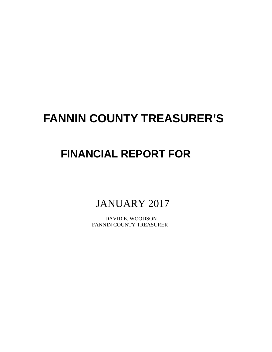# **FANNIN COUNTY TREASURER'S**

## **FINANCIAL REPORT FOR**

JANUARY 2017

 DAVID E. WOODSON FANNIN COUNTY TREASURER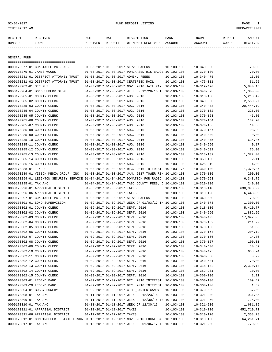## 02/01/2017 FUND DEPOSIT LISTING PAGE 1

| RECEIPT | <b>RECEIVED</b> | DATE            | DATE    | DESCRIPTION       | <b>BANK</b> | <b>INCOME</b> | REPORT | AMOUNT          |
|---------|-----------------|-----------------|---------|-------------------|-------------|---------------|--------|-----------------|
| NUMBER  | FROM            | <b>RECEIVED</b> | DEPOSIT | OF MONEY RECEIVED | ACCOUNT     | ACCOUNT       | CODES  | <b>RECEIVED</b> |
|         |                 |                 |         |                   |             |               |        |                 |

GENERAL FUND

|                                | =====================================                                                        |                                  |                                  |                                                      |                  |                  |             |
|--------------------------------|----------------------------------------------------------------------------------------------|----------------------------------|----------------------------------|------------------------------------------------------|------------------|------------------|-------------|
|                                | 0000170277-01 CONSTABLE PCT. # 2                                                             |                                  |                                  | 01-03-2017 01-03-2017 SERVE PAPERS                   | $10 - 103 - 100$ | $10 - 340 - 550$ | 70.00       |
| 0000170279-01 JAMES WOODS      |                                                                                              |                                  |                                  | 01-03-2017 01-03-2017 PURCHASED HIS BADGE 10-103-100 |                  | $10 - 370 - 130$ | 70.00       |
|                                | 0000170281-01 DISTRICT ATTORNEY TRUST                                                        |                                  |                                  | 01-03-2017 01-03-2017 ADMIN. FEEES                   | $10 - 103 - 100$ | $10 - 340 - 475$ | 16.00       |
|                                | 0000170281-02 DISTRICT ATTORNEY TRUST                                                        |                                  |                                  | 01-03-2017 01-03-2017 CERTIFIED MAIL                 | $10 - 103 - 100$ | $10 - 475 - 311$ | 31.65       |
| 0000170282-01 SECURUS          |                                                                                              |                                  |                                  | 01-03-2017 01-03-2017 NOV. 2016 JAIL PAY 10-103-100  |                  | $10 - 319 - 420$ | 5,840.15    |
| 0000170284-01 BOND SUPERVISION |                                                                                              |                                  |                                  | 01-03-2017 01-03-2017 WEEK OF 12/28/16 TH 10-103-100 |                  | $10 - 340 - 573$ | 1,300.00    |
| 0000170285-01 COUNTY CLERK     |                                                                                              |                                  | 01-03-2017 01-03-2017 AUG. 2016  |                                                      | $10 - 103 - 100$ | $10 - 318 - 130$ | 5,210.47    |
| 0000170285-02 COUNTY CLERK     |                                                                                              |                                  | 01-03-2017 01-03-2017 AUG. 2016  |                                                      | $10 - 103 - 100$ | $10 - 340 - 560$ | 2,550.27    |
| 0000170285-03 COUNTY CLERK     |                                                                                              |                                  | 01-03-2017 01-03-2017 AUG. 2016  |                                                      | $10 - 103 - 100$ | $10 - 340 - 403$ | 20,444.19   |
| 0000170285-04 COUNTY CLERK     |                                                                                              |                                  | 01-03-2017 01-03-2017 AUG. 2016  |                                                      | $10 - 103 - 100$ | $10 - 370 - 162$ | 225.00      |
| 0000170285-05 COUNTY CLERK     |                                                                                              |                                  | 01-03-2017 01-03-2017 AUG. 2016  |                                                      | $10 - 103 - 100$ | $10 - 370 - 163$ | 46.80       |
| 0000170285-06 COUNTY CLERK     |                                                                                              |                                  | 01-03-2017 01-03-2017 AUG. 2016  |                                                      | $10 - 103 - 100$ | $10 - 370 - 164$ | 187.20      |
| 0000170285-07 COUNTY CLERK     |                                                                                              |                                  | 01-03-2017 01-03-2017 AUG. 2016  |                                                      | $10 - 103 - 100$ | $10 - 370 - 166$ | 14.68       |
| 0000170285-08 COUNTY CLERK     |                                                                                              |                                  | 01-03-2017 01-03-2017 AUG. 2016  |                                                      | $10 - 103 - 100$ | $10 - 370 - 167$ | 98.39       |
| 0000170285-09 COUNTY CLERK     |                                                                                              |                                  | 01-03-2017 01-03-2017 AUG. 2016  |                                                      | $10 - 103 - 100$ | $10 - 340 - 400$ | 10.00       |
| 0000170285-10 COUNTY CLERK     |                                                                                              |                                  | 01-03-2017 01-03-2017 AUG. 2016  |                                                      | $10 - 103 - 100$ | $10 - 340 - 475$ | 614.46      |
| 0000170285-11 COUNTY CLERK     |                                                                                              |                                  | 01-03-2017 01-03-2017 AUG. 2016  |                                                      | $10 - 103 - 100$ | $10 - 340 - 550$ | 0.17        |
| 0000170285-12 COUNTY CLERK     |                                                                                              |                                  | 01-03-2017 01-03-2017 AUG. 2016  |                                                      | $10 - 103 - 100$ | $10 - 340 - 601$ | 75.00       |
| 0000170285-13 COUNTY CLERK     |                                                                                              |                                  | 01-03-2017 01-03-2017 AUG. 2016  |                                                      | $10 - 103 - 100$ | $10 - 318 - 132$ | 1,372.00    |
| 0000170285-14 COUNTY CLERK     |                                                                                              |                                  | 01-03-2017 01-03-2017 AUG. 2016  |                                                      | $10 - 103 - 100$ | $10 - 360 - 100$ | 2.11        |
| 0000170285-15 COUNTY CLERK     |                                                                                              |                                  | 01-03-2017 01-03-2017 AUG. 2016  |                                                      | $10 - 103 - 100$ | $10 - 425 - 319$ | 4.00        |
| 0000170288-01 TEXPOOL          |                                                                                              |                                  |                                  | 01-03-2017 01-03-2017 DEC. 2016 INTEREST 10-103-175  |                  | $10 - 360 - 100$ | 1,370.87    |
|                                | 0000170289-01 VISION MEDIA GROUP, INC.                                                       |                                  |                                  | 01-03-2017 01-03-2017 JAN. 2017 TOWER REN 10-103-100 |                  | $10 - 370 - 100$ | 200.00      |
|                                | 0000170294-01 LEIGHTON SECURITY SERVICE 01-04-2017 01-04-2017 DONATION FOR RADIO 10-103-100  |                                  |                                  |                                                      |                  | $10 - 370 - 553$ | 6,348.75    |
| 0000170295-01 TAX A/C          |                                                                                              |                                  |                                  | 01-04-2017 01-04-2017 TABC COUNTY FEES, J 10-103-100 |                  | $10 - 320 - 200$ | 240.00      |
|                                | 0000170296-01 APPRAISAL DISTRICT                                                             |                                  | 01-06-2017 01-06-2017 TAXES      |                                                      | $10 - 103 - 100$ | $10 - 310 - 110$ | 630,098.97  |
|                                | 0000170296-06 APPRAISAL DISTRICT                                                             |                                  | 01-06-2017 01-06-2017 TAXES      |                                                      | $10 - 103 - 100$ | $10 - 310 - 120$ | 6,448.39    |
|                                | 0000170297-01 CONSTABLE PCT. # 1                                                             |                                  |                                  | 01-06-2017 01-06-2017 SERVE PAPERS                   | 10-103-100       | $10 - 340 - 550$ | 70.00       |
| 0000170301-01 BOND SUPERVISION |                                                                                              |                                  |                                  | 01-09-2017 01-09-2017 WEEK OF 01/03/17 TH 10-103-100 |                  | $10 - 340 - 573$ | 1,300.00    |
| 0000170302-01 COUNTY CLERK     |                                                                                              |                                  | 01-09-2017 01-09-2017 SEPT. 2016 |                                                      | $10 - 103 - 100$ | $10 - 318 - 130$ | 5,410.77    |
| 0000170302-02 COUNTY CLERK     |                                                                                              |                                  | 01-09-2017 01-09-2017 SEPT. 2016 |                                                      | $10 - 103 - 100$ | $10 - 340 - 560$ | 1,882.26    |
| 0000170302-03 COUNTY CLERK     |                                                                                              |                                  | 01-09-2017 01-09-2017 SEPT. 2016 |                                                      | $10 - 103 - 100$ | $10 - 340 - 403$ | 17,692.05   |
| 0000170302-04 COUNTY CLERK     |                                                                                              |                                  | 01-09-2017 01-09-2017 SEPT. 2016 |                                                      | $10 - 103 - 100$ | $10 - 370 - 162$ | 211.29      |
| 0000170302-05 COUNTY CLERK     |                                                                                              |                                  | 01-09-2017 01-09-2017 SEPT. 2016 |                                                      | $10 - 103 - 100$ | $10 - 370 - 163$ | 51.03       |
| 0000170302-06 COUNTY CLERK     |                                                                                              |                                  | 01-09-2017 01-09-2017 SEPT. 2016 |                                                      | $10 - 103 - 100$ | $10 - 370 - 164$ | 204.12      |
| 0000170302-07 COUNTY CLERK     |                                                                                              |                                  | 01-09-2017 01-09-2017 SEPT. 2016 |                                                      | $10 - 103 - 100$ | $10 - 370 - 166$ | 14.86       |
| 0000170302-08 COUNTY CLERK     |                                                                                              |                                  | 01-09-2017 01-09-2017 SEPT. 2016 |                                                      | $10 - 103 - 100$ | $10 - 370 - 167$ | 100.01      |
| 0000170302-09 COUNTY CLERK     |                                                                                              |                                  | 01-09-2017 01-09-2017 SEPT. 2016 |                                                      | $10 - 103 - 100$ | $10 - 340 - 400$ | 30.89       |
| 0000170302-10 COUNTY CLERK     |                                                                                              |                                  | 01-09-2017 01-09-2017 SEPT. 2016 |                                                      | $10 - 103 - 100$ | $10 - 340 - 475$ | 633.24      |
| 0000170302-11 COUNTY CLERK     |                                                                                              |                                  | 01-09-2017 01-09-2017 SEPT. 2016 |                                                      | $10 - 103 - 100$ | $10 - 340 - 550$ | 0.22        |
| 0000170302-12 COUNTY CLERK     |                                                                                              | 01-09-2017 01-09-2017 SEPT. 2016 |                                  |                                                      | $10 - 103 - 100$ | $10 - 340 - 601$ | 70.00       |
| 0000170302-13 COUNTY CLERK     |                                                                                              |                                  | 01-09-2017 01-09-2017 SEPT. 2016 |                                                      | $10 - 103 - 100$ | $10 - 318 - 132$ | 2,320.14    |
| 0000170302-14 COUNTY CLERK     |                                                                                              |                                  | 01-09-2017 01-09-2017 SEPT. 2016 |                                                      | $10 - 103 - 100$ | $10 - 352 - 201$ | 20.00       |
| 0000170302-15 COUNTY CLERK     |                                                                                              |                                  | 01-09-2017 01-09-2017 SEPT. 2016 |                                                      | $10 - 103 - 100$ | $10 - 360 - 100$ | 2.11        |
| 0000170303-01 LEGEND BANK      |                                                                                              |                                  |                                  | 01-09-2017 01-09-2017 DEC. 2016 INTEREST 10-103-100  |                  | $10 - 360 - 100$ | 109.49      |
| 0000170303-29 LEGEND BANK      |                                                                                              |                                  |                                  | 01-09-2017 01-09-2017 DEC. 2016 INTEREST 10-100-100  |                  | $10 - 360 - 100$ | 1.57        |
| 0000170304-01 BOBBY HOWERY     |                                                                                              |                                  |                                  | 01-09-2017 01-09-2017 4TH QUARTER CANDY              | 10-103-100       | $10 - 370 - 509$ | 37.50       |
| 0000170308-01 TAX A/C          |                                                                                              |                                  |                                  | 01-11-2017 01-11-2017 WEEK OF 12/23/16               | $10 - 103 - 100$ | $10 - 321 - 200$ | 931.05      |
| 0000170309-01 TAX A/C          |                                                                                              |                                  |                                  | 01-11-2017 01-11-2017 WEEK OF 12/30/16 14 10-103-100 |                  | $10 - 321 - 250$ | 725.00      |
| 0000170310-01 TAX A/C          |                                                                                              |                                  |                                  | 01-11-2017 01-11-2017 WEEK OF 12/30/16               | $10 - 103 - 100$ | $10 - 321 - 200$ | 1,681.85    |
|                                | 0000170311-01 APPRAISAL DISTRICT                                                             | 01-12-2017 01-12-2017 TAXES      |                                  |                                                      | $10 - 103 - 100$ | $10 - 310 - 110$ | 452,710.71  |
|                                | 0000170311-06 APPRAISAL DISTRICT                                                             |                                  | 01-12-2017 01-12-2017 TAXES      |                                                      | $10 - 103 - 100$ | $10 - 310 - 120$ | 2,358.78    |
|                                | 0000170312-01 COMPTROLLER - STATE FISCA 01-12-2017 01-12-2017 NOV. 2016 LOCAL SAL 10-103-100 |                                  |                                  |                                                      |                  | $10 - 318 - 160$ | 64, 261. 71 |
| 0000170317-01 TAX A/C          |                                                                                              |                                  |                                  | 01-13-2017 01-13-2017 WEEK OF 01/06/17 15 10-103-100 |                  | $10 - 321 - 250$ | 770.00      |
|                                |                                                                                              |                                  |                                  |                                                      |                  |                  |             |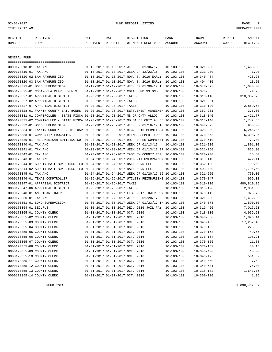## 02/01/2017 FUND DEPOSIT LISTING PAGE 2

| RECEIPT | RECEIVED | DATE     | DATE    | DESCRIPTION               | <b>BANK</b> | INCOME  | REPORT | AMOUNT   |
|---------|----------|----------|---------|---------------------------|-------------|---------|--------|----------|
| NUMBER  | FROM     | RECEIVED | DEPOSIT | OF MONEY RECEIVED ACCOUNT |             | ACCOUNT | CODES  | RECEIVED |
|         |          |          |         |                           |             |         |        |          |

GENERAL FUND

|                            | =====================================                                                        |                                 |                                                      |                  |                  |              |
|----------------------------|----------------------------------------------------------------------------------------------|---------------------------------|------------------------------------------------------|------------------|------------------|--------------|
| 0000170318-01 TAX A/C      |                                                                                              |                                 | 01-13-2017 01-13-2017 WEEK OF 01/06/17               | $10 - 103 - 100$ | $10 - 321 - 200$ | 1,468.60     |
| 0000170319-01 TAX A/C      |                                                                                              |                                 | 01-13-2017 01-13-2017 WEEK OF 12/23/16               | $10 - 103 - 100$ | $10 - 321 - 200$ | 1.90         |
|                            | 0000170320-02 SAM RAYBURN ISD                                                                |                                 | 01-13-2017 01-13-2017 NOV. 8, 2016 EARLY 10-103-100  |                  | $10 - 340 - 484$ | 428.28       |
|                            | 0000170320-03 SAM RAYBURN ISD                                                                |                                 | 01-13-2017 01-13-2017 NOV. 8, 2016 EARLY 10-103-100  |                  | $10 - 404 - 430$ | 13.50        |
|                            | 0000170321-01 BOND SUPERVISION                                                               |                                 | 01-17-2017 01-17-2017 WEEK OF 01/09/17 TH 10-103-100 |                  | $10 - 340 - 573$ | 1,040.00     |
|                            | 0000170325-01 COCA-COLA REFRESHMENTS                                                         |                                 | 01-17-2017 01-17-2017 COLA COMMISSIONS               | $10 - 103 - 100$ | $10 - 370 - 565$ | 74.76        |
|                            | 0000170327-01 APPRAISAL DISTRICT                                                             | 01-20-2017 01-20-2017 TAXES     |                                                      | $10 - 103 - 100$ | $10 - 310 - 110$ | 310, 357. 75 |
|                            | 0000170327-02 APPRAISAL DISTRICT                                                             | 01-20-2017 01-20-2017 TAXES     |                                                      | $10 - 103 - 100$ | $10 - 321 - 901$ | 5.00         |
|                            | 0000170327-07 APPRAISAL DISTRICT                                                             | 01-20-2017 01-20-2017 TAXES     |                                                      | $10 - 103 - 100$ | $10 - 310 - 120$ | 2,869.58     |
|                            | 0000170328-01 FANNIN COUNTY BAIL BONDS 01-20-2017 01-20-2017 SETTLEMENT AGREEMEN 10-103-100  |                                 |                                                      |                  | $10 - 352 - 201$ | 375.00       |
|                            | 0000170331-01 COMPTROLLER - STATE FISCA 01-23-2017 01-23-2017 MB GR CNTY ALLOC               |                                 |                                                      | $10 - 103 - 100$ | $10 - 318 - 140$ | 1,421.77     |
|                            | 0000170331-02 COMPTROLLER - STATE FISCA 01-23-2017 01-23-2017 MB SALES CNTY ALLOC 10-103-100 |                                 |                                                      |                  | $10 - 318 - 140$ | 1,742.88     |
|                            | 0000170332-01 BOND SUPERVISION                                                               |                                 | 01-23-2017 01-23-2017 WEEK OF 01/16/17 TH 10-103-100 |                  | $10 - 340 - 573$ | 980.00       |
|                            | 0000170334-01 FANNIN COUNTY HEALTH INSP 01-23-2017 01-23-2017 DEC. 2016 PERMITS & 10-103-100 |                                 |                                                      |                  | $10 - 320 - 300$ | 6.245.05     |
|                            | 0000170338-01 COMMUNITY EDUCATION                                                            |                                 | 01-23-2017 01-23-2017 REIMBURSEMENT FOR O 10-103-100 |                  | $10 - 370 - 453$ | 5,398.25     |
|                            | 0000170339-01 THE AMERICAN BOTTLING CO. 01-23-2017 01-23-2017 DR. PEPPER COMMISSI 10-103-100 |                                 |                                                      |                  | $10 - 370 - 510$ | 72.00        |
| 0000170340-01 TAX A/C      |                                                                                              |                                 | 01-23-2017 01-23-2017 WEEK OF 01/13/17               | 10-103-100       | $10 - 321 - 200$ | 1,801.30     |
| 0000170341-01 TAX A/C      |                                                                                              |                                 | 01-23-2017 01-23-2017 WEEK OF 01/13/17 17 10-103-100 |                  | $10 - 321 - 250$ | 855.00       |
| 0000170342-01 TAX A/C      |                                                                                              |                                 | 01-23-2017 01-23-2017 TABC 5% COUNTY REFU 10-103-100 |                  | $10 - 320 - 200$ | 35.50        |
| 0000170343-01 TAX A/C      |                                                                                              |                                 | 01-24-2017 01-24-2017 2016 VIT OVERPAYMEN 10-103-100 |                  | $10 - 310 - 110$ | 422.11       |
|                            | 0000170344-01 SURETY BAIL BOND TRUST FU 01-24-2017 01-24-2017 BAIL BOND FEE                  |                                 |                                                      | $10 - 103 - 100$ | $10 - 352 - 100$ | 199.50       |
|                            | 0000170344-02 SURETY BAIL BOND TRUST FU 01-24-2017 01-24-2017 BAIL BOND FEE                  |                                 |                                                      | $10 - 103 - 100$ | $10 - 409 - 489$ | 1,795.50     |
| 0000170345-01 TAX A/C      |                                                                                              |                                 | 01-24-2017 01-24-2017 WEEK OF 01/20/17 15 10-103-100 |                  | $10 - 321 - 250$ | 750.00       |
|                            | 0000170346-01 TEXAS COMPTROLLER                                                              |                                 | 01-26-2017 01-26-2017 UTILITY REIMBURSEME 10-103-100 |                  | $10 - 370 - 147$ | 969.31       |
|                            | 0000170347-01 APPRAISAL DISTRICT                                                             | 01-26-2017 01-26-2017 TAXES     |                                                      | $10 - 103 - 100$ | $10 - 310 - 110$ | 480,810.15   |
|                            | 0000170347-06 APPRAISAL DISTRICT                                                             | 01-26-2017 01-26-2017 TAXES     |                                                      | $10 - 103 - 100$ | $10 - 310 - 120$ | 2,031.50     |
|                            | 0000170348-01 AMERICAN TOWER                                                                 |                                 | 01-27-2017 01-27-2017 FEB. 2017 TOWER REN 10-103-100 |                  | $10 - 370 - 115$ | 925.75       |
| 0000170350-01 TAX A/C      |                                                                                              |                                 | 01-27-2017 01-27-2017 WEEK OF 01/20/17               | $10 - 103 - 100$ | $10 - 321 - 200$ | 1,412.30     |
|                            | 0000170351-01 BOND SUPERVISION                                                               |                                 | 01-30-2017 01-30-2017 WEEK OF 01/23/17 TH 10-103-100 |                  | $10 - 340 - 573$ | 1,590.00     |
| 0000170354-01 SECURUS      |                                                                                              |                                 | 01-30-2017 01-30-2017 DEC. 2016 JAIL PAY 10-103-100  |                  | $10 - 319 - 420$ | 7,017.61     |
| 0000170355-01 COUNTY CLERK |                                                                                              | 01-31-2017 01-31-2017 OCT. 2016 |                                                      | $10 - 103 - 100$ | $10 - 318 - 130$ | 4,959.51     |
| 0000170355-02 COUNTY CLERK |                                                                                              | 01-31-2017 01-31-2017 OCT. 2016 |                                                      | $10 - 103 - 100$ | $10 - 340 - 560$ | 1,826.14     |
| 0000170355-03 COUNTY CLERK |                                                                                              | 01-31-2017 01-31-2017 OCT. 2016 |                                                      | $10 - 103 - 100$ | $10 - 340 - 403$ | 17,282.48    |
| 0000170355-04 COUNTY CLERK |                                                                                              | 01-31-2017 01-31-2017 OCT. 2016 |                                                      | $10 - 103 - 100$ | $10 - 370 - 162$ | 225.00       |
| 0000170355-05 COUNTY CLERK |                                                                                              | 01-31-2017 01-31-2017 OCT. 2016 |                                                      | $10 - 103 - 100$ | $10 - 370 - 163$ | 49.55        |
| 0000170355-06 COUNTY CLERK |                                                                                              | 01-31-2017 01-31-2017 OCT. 2016 |                                                      | $10 - 103 - 100$ | $10 - 370 - 164$ | 198.21       |
| 0000170355-07 COUNTY CLERK |                                                                                              | 01-31-2017 01-31-2017 OCT. 2016 |                                                      | $10 - 103 - 100$ | $10 - 370 - 166$ | 11.88        |
| 0000170355-08 COUNTY CLERK |                                                                                              | 01-31-2017 01-31-2017 OCT. 2016 |                                                      | $10 - 103 - 100$ | $10 - 370 - 167$ | 80.18        |
| 0000170355-09 COUNTY CLERK |                                                                                              | 01-31-2017 01-31-2017 OCT. 2016 |                                                      | $10 - 103 - 100$ | $10 - 340 - 400$ | 10.00        |
| 0000170355-10 COUNTY CLERK |                                                                                              | 01-31-2017 01-31-2017 OCT. 2016 |                                                      | $10 - 103 - 100$ | $10 - 340 - 475$ | 501.62       |
| 0000170355-11 COUNTY CLERK |                                                                                              | 01-31-2017 01-31-2017 OCT. 2016 |                                                      | $10 - 103 - 100$ | $10 - 340 - 550$ | 17.52        |
| 0000170355-12 COUNTY CLERK |                                                                                              | 01-31-2017 01-31-2017 OCT. 2016 |                                                      | $10 - 103 - 100$ | $10 - 340 - 601$ | 75.00        |
| 0000170355-13 COUNTY CLERK |                                                                                              | 01-31-2017 01-31-2017 OCT. 2016 |                                                      | $10 - 103 - 100$ | $10 - 318 - 132$ | 1,643.76     |
| 0000170355-14 COUNTY CLERK |                                                                                              | 01-31-2017 01-31-2017 OCT. 2016 |                                                      | $10 - 103 - 100$ | $10 - 360 - 100$ | 1.95         |
|                            |                                                                                              |                                 |                                                      |                  |                  |              |

FUND TOTAL 2,096,482.82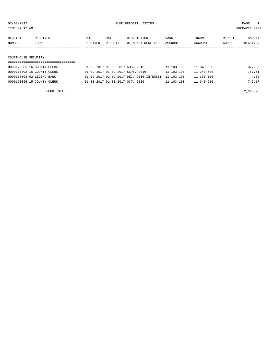TIME:09:17 AM PREPARER:0007

| RECEIPT | RECEIVED | DATE     | DATE    | DESCRIPTION       | <b>BANK</b> | INCOME         | REPORT | AMOUNT   |
|---------|----------|----------|---------|-------------------|-------------|----------------|--------|----------|
| NUMBER  | FROM     | RECEIVED | DEPOSIT | OF MONEY RECEIVED | ACCOUNT     | <b>ACCOUNT</b> | CODES  | RECEIVED |
|         |          |          |         |                   |             |                |        |          |

## COURTHOUSE SECURITY

| 0000170285-16 COUNTY CLERK | 01-03-2017 01-03-2017 AUG. 2016                     | 11-103-100       | $11 - 340 - 600$ | 827.90 |
|----------------------------|-----------------------------------------------------|------------------|------------------|--------|
| 0000170302-16 COUNTY CLERK | 01-09-2017 01-09-2017 SEPT. 2016                    | $11 - 103 - 100$ | $11 - 340 - 600$ | 787.51 |
| 0000170303-02 LEGEND BANK  | 01-09-2017 01-09-2017 DEC. 2016 INTEREST 11-103-100 |                  | $11 - 360 - 100$ | 4.35   |
| 0000170355-15 COUNTY CLERK | $01 - 31 - 2017$ $01 - 31 - 2017$ $0CT$ . 2016      | $11 - 103 - 100$ | $11 - 340 - 600$ | 746.17 |

FUND TOTAL 2,365.93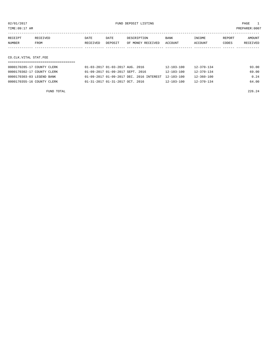TIME:09:17 AM PREPARER:0007

| RECEIPT | <b>RECEIVED</b> | DATE     | DATE           | DE SCR T PT TON   | <b>BANK</b> | NCOME <sup></sup> | REPORT | NMOUNT          |
|---------|-----------------|----------|----------------|-------------------|-------------|-------------------|--------|-----------------|
| NUMBER  | FROM            | RECEIVED | <b>DEPOSTT</b> | OF MONEY RECEIVED | ACCOUNT     | <b>ACCOUNT</b>    | CODES  | <b>RECEIVED</b> |
|         |                 |          |                |                   |             |                   |        |                 |

## CO.CLK.VITAL STAT.FEE

| 0000170285-17 COUNTY CLERK | 01-03-2017 01-03-2017 AUG. 2016                     | 12-103-100       | $12 - 370 - 134$ | 93.00 |
|----------------------------|-----------------------------------------------------|------------------|------------------|-------|
| 0000170302-17 COUNTY CLERK | 01-09-2017 01-09-2017 SEPT. 2016                    | $12 - 103 - 100$ | $12 - 370 - 134$ | 69.00 |
| 0000170303-03 LEGEND BANK  | 01-09-2017 01-09-2017 DEC, 2016 INTEREST 12-103-100 |                  | $12 - 360 - 100$ | 0.24  |
| 0000170355-16 COUNTY CLERK | $01 - 31 - 2017$ $01 - 31 - 2017$ $0CT$ . 2016      | $12 - 103 - 100$ | $12 - 370 - 134$ | 64.00 |

FUND TOTAL 226.24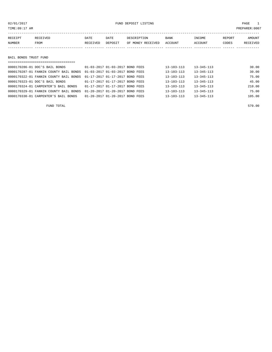## 02/01/2017 FUND DEPOSIT LISTING PAGE 1

| RECEIPT | RECEIVED | DATE     | DATE    | DESCRIPTION               | BANK | INCOME  | REPORT | AMOUNT   |
|---------|----------|----------|---------|---------------------------|------|---------|--------|----------|
| NUMBER  | FROM     | RECEIVED | DEPOSIT | OF MONEY RECEIVED ACCOUNT |      | ACCOUNT | CODES  | RECEIVED |
|         |          |          |         |                           |      |         |        |          |
|         |          |          |         |                           |      |         |        |          |

## BAIL BONDS TRUST FUND

| ================================== |                                        |                                             |  |  |                  |                  |        |  |  |  |
|------------------------------------|----------------------------------------|---------------------------------------------|--|--|------------------|------------------|--------|--|--|--|
|                                    | 0000170286-01 DOC'S BAIL BONDS         | $01 - 03 - 2017$ $01 - 03 - 2017$ ROND FEES |  |  | $13 - 103 - 113$ | $13 - 345 - 113$ | 30.00  |  |  |  |
|                                    | 0000170287-01 FANNIN COUNTY BAIL BONDS | 01-03-2017 01-03-2017 BOND FEES             |  |  | $13 - 103 - 113$ | $13 - 345 - 113$ | 30.00  |  |  |  |
|                                    | 0000170322-01 FANNIN COUNTY BAIL BONDS | 01-17-2017 01-17-2017 BOND FEES             |  |  | $13 - 103 - 113$ | $13 - 345 - 113$ | 75.00  |  |  |  |
|                                    | 0000170323-01 DOC'S BAIL BONDS         | 01-17-2017 01-17-2017 BOND FEES             |  |  | $13 - 103 - 113$ | $13 - 345 - 113$ | 45.00  |  |  |  |
|                                    | 0000170324-01 CARPENTER'S BAIL BONDS   | 01-17-2017 01-17-2017 BOND FEES             |  |  | $13 - 103 - 113$ | $13 - 345 - 113$ | 210.00 |  |  |  |
|                                    | 0000170329-01 FANNIN COUNTY BAIL BONDS | 01-20-2017 01-20-2017 BOND FEES             |  |  | $13 - 103 - 113$ | $13 - 345 - 113$ | 75.00  |  |  |  |
|                                    | 0000170330-01 CARPENTER'S BAIL BONDS   | 01-20-2017 01-20-2017 BOND FEES             |  |  | $13 - 103 - 113$ | $13 - 345 - 113$ | 105.00 |  |  |  |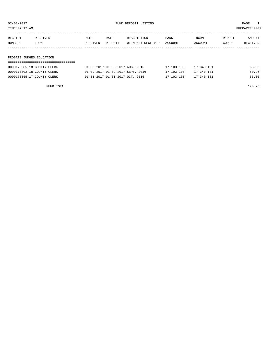| RECEIPT | RECEIVED | DATE     | DATE    | DESCRIPTION       | <b>BANK</b> | <b>INCOME</b> | REPORT | AMOUNT          |
|---------|----------|----------|---------|-------------------|-------------|---------------|--------|-----------------|
| NUMBER  | FROM     | RECEIVED | DEPOSIT | OF MONEY RECEIVED | ACCOUNT     | ACCOUNT       | CODES  | <b>RECEIVED</b> |
|         |          |          |         |                   |             |               |        |                 |

## PROBATE JUDGES EDUCATION

| 0000170285-18 COUNTY CLERK | 01-03-2017 01-03-2017 AUG. 2016                | 17-103-100       | $17 - 340 - 131$ | 65.00 |
|----------------------------|------------------------------------------------|------------------|------------------|-------|
| 0000170302-18 COUNTY CLERK | 01-09-2017 01-09-2017 SEPT. 2016               | $17 - 103 - 100$ | $17 - 340 - 131$ | 50.26 |
| 0000170355-17 COUNTY CLERK | $01 - 31 - 2017$ $01 - 31 - 2017$ $0CT$ . 2016 | 17-103-100       | $17 - 340 - 131$ | 55.00 |

FUND TOTAL 170.26

TIME:09:17 AM PREPARER:0007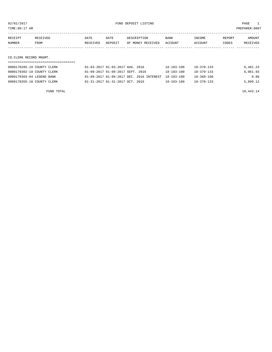TIME:09:17 AM PREPARER:0007

| RECEIPT | RECEIVED | <b>DATE</b> | DATE    | DESCRIPTION       | <b>BANK</b> | INCOME  | REPORT | AMOUNT   |
|---------|----------|-------------|---------|-------------------|-------------|---------|--------|----------|
| NUMBER  | FROM     | RECEIVED    | DEPOSIT | OF MONEY RECEIVED | ACCOUNT     | ACCOUNT | CODES  | RECEIVED |
|         |          |             |         |                   |             |         |        |          |
|         |          |             |         |                   |             |         |        |          |

CO.CLERK RECORD MNGMT.

| 0000170285-19 COUNTY CLERK | 01-03-2017 01-03-2017 AUG. 2016                     | 18-103-100       | 18-370-133       | 6,481.23 |
|----------------------------|-----------------------------------------------------|------------------|------------------|----------|
| 0000170302-19 COUNTY CLERK | 01-09-2017 01-09-2017 SEPT. 2016                    | $18 - 103 - 100$ | $18 - 370 - 133$ | 6.061.93 |
| 0000170303-04 LEGEND BANK  | 01-09-2017 01-09-2017 DEC. 2016 INTEREST 18-103-100 |                  | 18-360-100       | 0.86     |
| 0000170355-18 COUNTY CLERK | $01 - 31 - 2017$ $01 - 31 - 2017$ $0CT$ . 2016      | $18 - 103 - 100$ | $18 - 370 - 133$ | 5,899.12 |

FUND TOTAL  $18,443.14$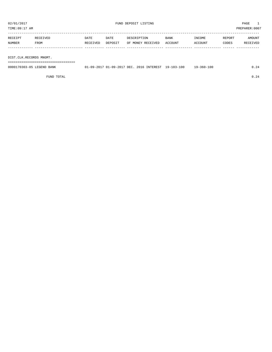TIME:09:17 AM PREPARER:0007

| RECEIPT | RECEIVED | <b>DATE</b> | DATE    | DESCRIPTION       | <b>BANK</b> | INCOME  | REPORT | AMOUNT   |
|---------|----------|-------------|---------|-------------------|-------------|---------|--------|----------|
| NUMBER  | FROM     | RECEIVED    | DEPOSIT | OF MONEY RECEIVED | ACCOUNT     | ACCOUNT | CODES  | RECEIVED |
|         |          |             |         |                   |             |         |        |          |
|         |          |             |         |                   |             |         |        |          |

DIST.CLK.RECORDS MNGMT.

===================================

| 0000170303-05 LEGEND BANK | 01-09-2017 01-09-2017 DEC. 2016 INTEREST 19-103-100 |  | $19 - 360 - 100$ |  |
|---------------------------|-----------------------------------------------------|--|------------------|--|
|                           |                                                     |  |                  |  |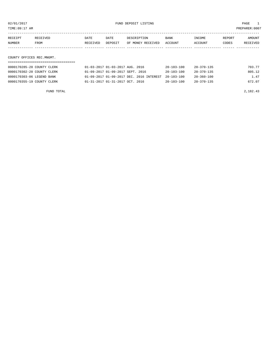TIME:09:17 AM PREPARER:0007

| RECEIPT | RECEIVED | DATE     | DATE    | DESCRIPTION       | <b>BANK</b> | INCOME  | REPORT | AMOUNT   |
|---------|----------|----------|---------|-------------------|-------------|---------|--------|----------|
| NUMBER  | FROM     | RECEIVED | DEPOSIT | OF MONEY RECEIVED | ACCOUNT     | ACCOUNT | CODES  | RECEIVED |
|         |          |          |         |                   |             |         |        |          |

COUNTY OFFICES REC.MNGMT.

| 0000170285-20 COUNTY CLERK | 01-03-2017 01-03-2017 AUG. 2016                | 20-103-100       | 20-370-135       | 703.77 |
|----------------------------|------------------------------------------------|------------------|------------------|--------|
| 0000170302-20 COUNTY CLERK | 01-09-2017 01-09-2017 SEPT. 2016               | $20 - 103 - 100$ | 20-370-135       | 805.12 |
| 0000170303-06 LEGEND BANK  | 01-09-2017 01-09-2017 DEC. 2016 INTEREST       | $20 - 103 - 100$ | $20 - 360 - 100$ | 1.47   |
| 0000170355-19 COUNTY CLERK | $01 - 31 - 2017$ $01 - 31 - 2017$ $0CT$ . 2016 | $20 - 103 - 100$ | 20-370-135       | 672.07 |

FUND TOTAL 2,182.43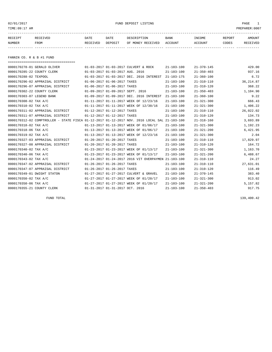02/01/2017 FUND DEPOSIT LISTING PAGE 1

| RECEIPT | <b>RECEIVED</b> | DATE            | DATE    | DESCRIPTION       | <b>BANK</b> | INCOME  | REPORT | AMOUNT          |
|---------|-----------------|-----------------|---------|-------------------|-------------|---------|--------|-----------------|
| NUMBER  | FROM            | <b>RECEIVED</b> | DEPOSIT | OF MONEY RECEIVED | ACCOUNT     | ACCOUNT | CODES  | <b>RECEIVED</b> |
|         |                 |                 |         |                   |             |         |        |                 |

FANNIN CO. R & B #1 FUND

|                           | ======================================                                                       |                                  |                             |                                                      |                  |                  |            |
|---------------------------|----------------------------------------------------------------------------------------------|----------------------------------|-----------------------------|------------------------------------------------------|------------------|------------------|------------|
|                           | 0000170278-01 GERALD OLIVER                                                                  |                                  |                             | 01-03-2017 01-03-2017 CULVERT & ROCK                 | $21 - 103 - 100$ | $21 - 370 - 145$ | 429.00     |
|                           | 0000170285-22 COUNTY CLERK                                                                   | 01-03-2017 01-03-2017 AUG. 2016  |                             |                                                      | $21 - 103 - 100$ | $21 - 350 - 403$ | 937.16     |
| 0000170288-02 TEXPOOL     |                                                                                              |                                  |                             | 01-03-2017 01-03-2017 DEC. 2016 INTEREST             | $21 - 103 - 175$ | $21 - 360 - 100$ | 6.72       |
|                           | 0000170296-02 APPRAISAL DISTRICT                                                             |                                  | 01-06-2017 01-06-2017 TAXES |                                                      | $21 - 103 - 100$ | $21 - 310 - 110$ | 36, 214.87 |
|                           | 0000170296-07 APPRAISAL DISTRICT                                                             | 01-06-2017 01-06-2017 TAXES      |                             |                                                      | $21 - 103 - 100$ | $21 - 310 - 120$ | 368.22     |
|                           | 0000170302-22 COUNTY CLERK                                                                   | 01-09-2017 01-09-2017 SEPT. 2016 |                             |                                                      | $21 - 103 - 100$ | $21 - 350 - 403$ | 1,104.90   |
| 0000170303-07 LEGEND BANK |                                                                                              |                                  |                             | 01-09-2017 01-09-2017 DEC. 2016 INTEREST             | $21 - 103 - 100$ | $21 - 360 - 100$ | 9.22       |
| 0000170308-02 TAX A/C     |                                                                                              |                                  |                             | 01-11-2017 01-11-2017 WEEK OF 12/23/16               | $21 - 103 - 100$ | $21 - 321 - 300$ | 666.43     |
| 0000170310-02 TAX A/C     |                                                                                              |                                  |                             | 01-11-2017 01-11-2017 WEEK OF 12/30/16               | $21 - 103 - 100$ | $21 - 321 - 300$ | 1,406.22   |
|                           | 0000170311-02 APPRAISAL DISTRICT                                                             | 01-12-2017 01-12-2017 TAXES      |                             |                                                      | $21 - 103 - 100$ | $21 - 310 - 110$ | 26,022.02  |
|                           | 0000170311-07 APPRAISAL DISTRICT                                                             | 01-12-2017 01-12-2017 TAXES      |                             |                                                      | $21 - 103 - 100$ | $21 - 310 - 120$ | 134.73     |
|                           | 0000170312-02 COMPTROLLER - STATE FISCA 01-12-2017 01-12-2017 NOV. 2016 LOCAL SAL 21-103-100 |                                  |                             |                                                      |                  | $21 - 318 - 160$ | 3,693.89   |
| 0000170318-02 TAX A/C     |                                                                                              |                                  |                             | 01-13-2017 01-13-2017 WEEK OF 01/06/17               | $21 - 103 - 100$ | $21 - 321 - 300$ | 1,192.23   |
| 0000170318-06 TAX A/C     |                                                                                              |                                  |                             | 01-13-2017 01-13-2017 WEEK OF 01/06/17               | $21 - 103 - 100$ | $21 - 321 - 200$ | 6,421.95   |
| 0000170319-02 TAX A/C     |                                                                                              |                                  |                             | 01-13-2017 01-13-2017 WEEK OF 12/23/16               | $21 - 103 - 100$ | $21 - 321 - 300$ | 2.04       |
|                           | 0000170327-03 APPRAISAL DISTRICT                                                             | 01-20-2017 01-20-2017 TAXES      |                             |                                                      | $21 - 103 - 100$ | $21 - 310 - 110$ | 17,829.97  |
|                           | 0000170327-08 APPRAISAL DISTRICT                                                             | 01-20-2017 01-20-2017 TAXES      |                             |                                                      | $21 - 103 - 100$ | $21 - 310 - 120$ | 164.72     |
| 0000170340-02 TAX A/C     |                                                                                              |                                  |                             | 01-23-2017 01-23-2017 WEEK OF 01/13/17               | $21 - 103 - 100$ | $21 - 321 - 300$ | 1,163.70   |
| 0000170340-06 TAX A/C     |                                                                                              |                                  |                             | 01-23-2017 01-23-2017 WEEK OF 01/13/17               | $21 - 103 - 100$ | $21 - 321 - 200$ | 6,488.67   |
| 0000170343-02 TAX A/C     |                                                                                              |                                  |                             | 01-24-2017 01-24-2017 2016 VIT OVERPAYMEN 21-103-100 |                  | $21 - 310 - 110$ | 24.27      |
|                           | 0000170347-02 APPRAISAL DISTRICT                                                             | 01-26-2017 01-26-2017 TAXES      |                             |                                                      | $21 - 103 - 100$ | $21 - 310 - 110$ | 27,631.01  |
|                           | 0000170347-07 APPRAISAL DISTRICT                                                             | 01-26-2017 01-26-2017 TAXES      |                             |                                                      | $21 - 103 - 100$ | $21 - 310 - 120$ | 116.49     |
|                           | 0000170349-01 DWIGHT STATON                                                                  |                                  |                             | 01-27-2017 01-27-2017 CULVERT & GRAVEL               | $21 - 103 - 100$ | $21 - 370 - 145$ | 383.40     |
| 0000170350-02 TAX A/C     |                                                                                              |                                  |                             | 01-27-2017 01-27-2017 WEEK OF 01/20/17               | $21 - 103 - 100$ | $21 - 321 - 300$ | 913.02     |
| 0000170350-06 TAX A/C     |                                                                                              |                                  |                             | 01-27-2017 01-27-2017 WEEK OF 01/20/17               | $21 - 103 - 100$ | $21 - 321 - 200$ | 5,157.82   |
|                           | 0000170355-21 COUNTY CLERK                                                                   | 01-31-2017 01-31-2017 OCT. 2016  |                             |                                                      | $21 - 103 - 100$ | $21 - 350 - 403$ | 917.75     |

FUND TOTAL 139,400.42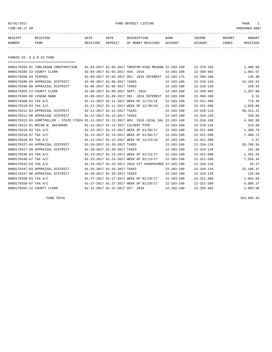02/01/2017 FUND DEPOSIT LISTING PAGE 1

| RECEIPT | RECEIVED | DATE     | DATE    | DESCRIPTION       | <b>BANK</b> | <b>TNCOME</b> | <b>REPORT</b> | AMOUNT          |
|---------|----------|----------|---------|-------------------|-------------|---------------|---------------|-----------------|
| NUMBER  | FROM     | RECEIVED | DEPOSIT | OF MONEY RECEIVED | ACCOUNT     | ACCOUNT       | CODES         | <b>RECEIVED</b> |
|         |          |          |         |                   |             |               |               |                 |

FANNIN CO. R & B #2 FUND

| =====================================                                                        |                                  |                                                      |                  |                  |             |
|----------------------------------------------------------------------------------------------|----------------------------------|------------------------------------------------------|------------------|------------------|-------------|
| 0000170283-01 TOMLINSON CONSTRUCTION                                                         |                                  | 01-03-2017 01-03-2017 TRENTON HIGH MEADOW 22-103-100 |                  | $22 - 370 - 150$ | 1,400.00    |
| 0000170285-23 COUNTY CLERK                                                                   | 01-03-2017 01-03-2017 AUG. 2016  |                                                      | $22 - 103 - 100$ | $22 - 350 - 403$ | 1,091.67    |
| 0000170288-03 TEXPOOL                                                                        |                                  | 01-03-2017 01-03-2017 DEC. 2016 INTEREST             | $22 - 103 - 175$ | $22 - 360 - 100$ | 146.90      |
| 0000170296-03 APPRAISAL DISTRICT                                                             | 01-06-2017 01-06-2017 TAXES      |                                                      | $22 - 103 - 100$ | $22 - 310 - 110$ | 42,185.53   |
| 0000170296-08 APPRAISAL DISTRICT                                                             | 01-06-2017 01-06-2017 TAXES      |                                                      | $22 - 103 - 100$ | $22 - 310 - 120$ | 428.93      |
| 0000170302-23 COUNTY CLERK                                                                   | 01-09-2017 01-09-2017 SEPT. 2016 |                                                      | $22 - 103 - 100$ | $22 - 350 - 403$ | 1,287.06    |
| 0000170303-08 LEGEND BANK                                                                    |                                  | 01-09-2017 01-09-2017 DEC. 2016 INTEREST             | $22 - 103 - 100$ | $22 - 360 - 100$ | 6.31        |
| 0000170308-03 TAX A/C                                                                        |                                  | 01-11-2017 01-11-2017 WEEK OF 12/23/16               | $22 - 103 - 100$ | $22 - 321 - 300$ | 776.30      |
| 0000170310-03 TAX A/C                                                                        |                                  | 01-11-2017 01-11-2017 WEEK OF 12/30/16               | $22 - 103 - 100$ | $22 - 321 - 300$ | 1,638.06    |
| 0000170311-03 APPRAISAL DISTRICT                                                             | 01-12-2017 01-12-2017 TAXES      |                                                      | $22 - 103 - 100$ | $22 - 310 - 110$ | 30, 312. 21 |
| 0000170311-08 APPRAISAL DISTRICT                                                             | 01-12-2017 01-12-2017 TAXES      |                                                      | $22 - 103 - 100$ | $22 - 310 - 120$ | 156.94      |
| 0000170312-03 COMPTROLLER - STATE FISCA 01-12-2017 01-12-2017 NOV. 2016 LOCAL SAL 22-103-100 |                                  |                                                      |                  | $22 - 318 - 160$ | 4,302.90    |
| 0000170313-01 BRIAN W. WHISNAND                                                              |                                  | 01-12-2017 01-12-2017 CULVERT PIPE                   | $22 - 103 - 100$ | $22 - 370 - 145$ | 124.60      |
| 0000170318-03 TAX A/C                                                                        |                                  | 01-13-2017 01-13-2017 WEEK OF 01/06/17               | $22 - 103 - 100$ | $22 - 321 - 300$ | 1,388.79    |
| 0000170318-07 TAX A/C                                                                        |                                  | 01-13-2017 01-13-2017 WEEK OF 01/06/17               | $22 - 103 - 100$ | $22 - 321 - 200$ | 7,480.72    |
| 0000170319-03 TAX A/C                                                                        |                                  | 01-13-2017 01-13-2017 WEEK OF 12/23/16               | $22 - 103 - 100$ | $22 - 321 - 300$ | 2.37        |
| 0000170327-04 APPRAISAL DISTRICT                                                             | 01-20-2017 01-20-2017 TAXES      |                                                      | $22 - 103 - 100$ | $22 - 310 - 110$ | 20,769.56   |
| 0000170327-09 APPRAISAL DISTRICT                                                             | 01-20-2017 01-20-2017 TAXES      |                                                      | $22 - 103 - 100$ | $22 - 310 - 120$ | 191.88      |
| 0000170340-03 TAX A/C                                                                        |                                  | 01-23-2017 01-23-2017 WEEK OF 01/13/17               | $22 - 103 - 100$ | $22 - 321 - 300$ | 1,355.55    |
| 0000170340-07 TAX A/C                                                                        |                                  | 01-23-2017 01-23-2017 WEEK OF 01/13/17               | $22 - 103 - 100$ | $22 - 321 - 200$ | 7,558.44    |
| 0000170343-03 TAX A/C                                                                        |                                  | 01-24-2017 01-24-2017 2016 VIT OVERPAYMEN            | $22 - 103 - 100$ | $22 - 310 - 110$ | 28.27       |
| 0000170347-03 APPRAISAL DISTRICT                                                             | 01-26-2017 01-26-2017 TAXES      |                                                      | $22 - 103 - 100$ | $22 - 310 - 110$ | 32,186.47   |
| 0000170347-08 APPRAISAL DISTRICT                                                             | 01-26-2017 01-26-2017 TAXES      |                                                      | $22 - 103 - 100$ | $22 - 310 - 120$ | 135.69      |
| 0000170350-03 TAX A/C                                                                        |                                  | 01-27-2017 01-27-2017 WEEK OF 01/20/17               | $22 - 103 - 100$ | $22 - 321 - 300$ | 1,063.55    |
| 0000170350-07 TAX A/C                                                                        |                                  | 01-27-2017 01-27-2017 WEEK OF 01/20/17               | $22 - 103 - 100$ | $22 - 321 - 200$ | 6,008.17    |
| 0000170355-22 COUNTY CLERK                                                                   | 01-31-2017 01-31-2017 OCT. 2016  |                                                      | $22 - 103 - 100$ | $22 - 350 - 403$ | 1,069.06    |
|                                                                                              |                                  |                                                      |                  |                  |             |

FUND TOTAL 163,095.93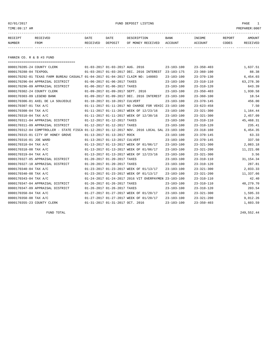## 02/01/2017 FUND DEPOSIT LISTING PAGE 1

| RECEIPT       | RECEIVED | DATE     | DATE    | DESCRIPTION       | BANK    | INCOME  | REPORT | <b>AMOUNT</b> |
|---------------|----------|----------|---------|-------------------|---------|---------|--------|---------------|
| <b>NUMBER</b> | FROM     | RECEIVED | DEPOSIT | OF MONEY RECEIVED | ACCOUNT | ACCOUNT | CODES  | RECEIVED      |
|               |          |          |         |                   |         |         |        |               |

FANNIN CO. R & B #3 FUND

|                            | ======================================                                                       |                                  |                             |                                                      |                  |                  |             |
|----------------------------|----------------------------------------------------------------------------------------------|----------------------------------|-----------------------------|------------------------------------------------------|------------------|------------------|-------------|
| 0000170285-24 COUNTY CLERK |                                                                                              | 01-03-2017 01-03-2017 AUG. 2016  |                             |                                                      | $23 - 103 - 100$ | $23 - 350 - 403$ | 1,637.51    |
| 0000170288-04 TEXPOOL      |                                                                                              |                                  |                             | 01-03-2017 01-03-2017 DEC. 2016 INTEREST 23-103-175  |                  | $23 - 360 - 100$ | 88.38       |
|                            | 0000170292-01 TEXAS FARM BUREAU CASUALT 01-04-2017 01-04-2017 CLAIM NO: 148083               |                                  |                             |                                                      | $23 - 103 - 100$ | $23 - 370 - 130$ | 6,454.03    |
|                            | 0000170296-04 APPRAISAL DISTRICT                                                             | 01-06-2017 01-06-2017 TAXES      |                             |                                                      | $23 - 103 - 100$ | $23 - 310 - 110$ | 63,278.30   |
|                            | 0000170296-09 APPRAISAL DISTRICT                                                             | 01-06-2017 01-06-2017 TAXES      |                             |                                                      | $23 - 103 - 100$ | $23 - 310 - 120$ | 643.39      |
| 0000170302-24 COUNTY CLERK |                                                                                              | 01-09-2017 01-09-2017 SEPT. 2016 |                             |                                                      | $23 - 103 - 100$ | $23 - 350 - 403$ | 1,930.58    |
| 0000170303-09 LEGEND BANK  |                                                                                              |                                  |                             | 01-09-2017 01-09-2017 DEC. 2016 INTEREST             | 23-103-100       | $23 - 360 - 100$ | 18.54       |
|                            | 0000170306-01 AXEL DE LA SOUJEOLE                                                            | 01-10-2017 01-10-2017 CULVERT    |                             |                                                      | $23 - 103 - 100$ | $23 - 370 - 145$ | 456.00      |
| 0000170307-01 TAX A/C      |                                                                                              |                                  |                             | 01-11-2017 01-11-2017 NO CHARGE FOR VEHIC 23-103-100 |                  | $23 - 623 - 458$ | 7.50        |
| 0000170308-04 TAX A/C      |                                                                                              |                                  |                             | 01-11-2017 01-11-2017 WEEK OF 12/23/16               | $23 - 103 - 100$ | $23 - 321 - 300$ | 1,164.44    |
| 0000170310-04 TAX A/C      |                                                                                              |                                  |                             | 01-11-2017 01-11-2017 WEEK OF 12/30/16               | $23 - 103 - 100$ | $23 - 321 - 300$ | 2,457.09    |
|                            | 0000170311-04 APPRAISAL DISTRICT                                                             |                                  | 01-12-2017 01-12-2017 TAXES |                                                      | $23 - 103 - 100$ | $23 - 310 - 110$ | 45,468.31   |
|                            | 0000170311-09 APPRAISAL DISTRICT                                                             | 01-12-2017 01-12-2017 TAXES      |                             |                                                      | $23 - 103 - 100$ | $23 - 310 - 120$ | 235.41      |
|                            | 0000170312-04 COMPTROLLER - STATE FISCA 01-12-2017 01-12-2017 NOV. 2016 LOCAL SAL 23-103-100 |                                  |                             |                                                      |                  | $23 - 318 - 160$ | 6,454.35    |
|                            | 0000170315-01 CITY OF HONEY GROVE                                                            |                                  | 01-13-2017 01-13-2017 ROCK  |                                                      | $23 - 103 - 100$ | $23 - 370 - 145$ | 63.33       |
| 0000170316-01 JOE WARD     |                                                                                              | 01-13-2017 01-13-2017 CULVERT    |                             |                                                      | $23 - 103 - 100$ | $23 - 370 - 145$ | 337.50      |
| 0000170318-04 TAX A/C      |                                                                                              |                                  |                             | 01-13-2017 01-13-2017 WEEK OF 01/06/17               | $23 - 103 - 100$ | $23 - 321 - 300$ | 2,083.18    |
| 0000170318-08 TAX A/C      |                                                                                              |                                  |                             | 01-13-2017 01-13-2017 WEEK OF 01/06/17               | $23 - 103 - 100$ | $23 - 321 - 200$ | 11,221.08   |
| 0000170319-04 TAX A/C      |                                                                                              |                                  |                             | 01-13-2017 01-13-2017 WEEK OF 12/23/16               | $23 - 103 - 100$ | $23 - 321 - 300$ | 3.56        |
|                            | 0000170327-05 APPRAISAL DISTRICT                                                             | 01-20-2017 01-20-2017 TAXES      |                             |                                                      | $23 - 103 - 100$ | $23 - 310 - 110$ | 31, 154. 34 |
|                            | 0000170327-10 APPRAISAL DISTRICT                                                             | 01-20-2017 01-20-2017 TAXES      |                             |                                                      | $23 - 103 - 100$ | $23 - 310 - 120$ | 287.81      |
| 0000170340-04 TAX A/C      |                                                                                              |                                  |                             | 01-23-2017 01-23-2017 WEEK OF 01/13/17               | $23 - 103 - 100$ | $23 - 321 - 300$ | 2,033.33    |
| 0000170340-08 TAX A/C      |                                                                                              |                                  |                             | 01-23-2017 01-23-2017 WEEK OF 01/13/17               | $23 - 103 - 100$ | $23 - 321 - 200$ | 11,337.66   |
| 0000170343-04 TAX A/C      |                                                                                              |                                  |                             | 01-24-2017 01-24-2017 2016 VIT OVERPAYMEN 23-103-100 |                  | $23 - 310 - 110$ | 42.40       |
|                            | 0000170347-04 APPRAISAL DISTRICT                                                             | 01-26-2017 01-26-2017 TAXES      |                             |                                                      | $23 - 103 - 100$ | $23 - 310 - 110$ | 48,279.70   |
|                            | 0000170347-09 APPRAISAL DISTRICT                                                             | 01-26-2017 01-26-2017 TAXES      |                             |                                                      | $23 - 103 - 100$ | $23 - 310 - 120$ | 203.54      |
| 0000170350-04 TAX A/C      |                                                                                              |                                  |                             | 01-27-2017 01-27-2017 WEEK OF 01/20/17               | $23 - 103 - 100$ | $23 - 321 - 300$ | 1,595.33    |
| 0000170350-08 TAX A/C      |                                                                                              |                                  |                             | 01-27-2017 01-27-2017 WEEK OF 01/20/17               | $23 - 103 - 100$ | $23 - 321 - 200$ | 9,012.26    |
| 0000170355-23 COUNTY CLERK |                                                                                              | 01-31-2017 01-31-2017 OCT. 2016  |                             |                                                      | $23 - 103 - 100$ | $23 - 350 - 403$ | 1,603.59    |

FUND TOTAL 249,552.44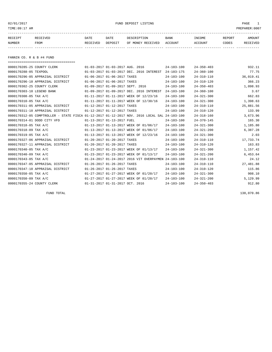02/01/2017 FUND DEPOSIT LISTING PAGE 1

| RECEIPT | RECEIVED    | DATE     | DATE    | DESCRIPTION       | <b>BANK</b> | INCOME  | REPORT | <b>AMOUNT</b> |
|---------|-------------|----------|---------|-------------------|-------------|---------|--------|---------------|
| NUMBER  | <b>FROM</b> | RECEIVED | DEPOSIT | OF MONEY RECEIVED | ACCOUNT     | ACCOUNT | CODES  | RECEIVED      |
|         |             |          |         |                   |             |         |        |               |

FANNIN CO. R & B #4 FUND

| ======================================                                                       |                                  |                                           |                  |                  |           |
|----------------------------------------------------------------------------------------------|----------------------------------|-------------------------------------------|------------------|------------------|-----------|
| 0000170285-25 COUNTY CLERK                                                                   | 01-03-2017 01-03-2017 AUG. 2016  |                                           | $24 - 103 - 100$ | $24 - 350 - 403$ | 932.11    |
| 0000170288-05 TEXPOOL                                                                        |                                  | 01-03-2017 01-03-2017 DEC. 2016 INTEREST  | $24 - 103 - 175$ | $24 - 360 - 100$ | 77.75     |
| 0000170296-05 APPRAISAL DISTRICT                                                             | 01-06-2017 01-06-2017 TAXES      |                                           | $24 - 103 - 100$ | $24 - 310 - 110$ | 36,019.41 |
| 0000170296-10 APPRAISAL DISTRICT                                                             | 01-06-2017 01-06-2017 TAXES      |                                           | $24 - 103 - 100$ | $24 - 310 - 120$ | 366.23    |
| 0000170302-25 COUNTY CLERK                                                                   | 01-09-2017 01-09-2017 SEPT. 2016 |                                           | $24 - 103 - 100$ | $24 - 350 - 403$ | 1,098.93  |
| 0000170303-10 LEGEND BANK                                                                    |                                  | 01-09-2017 01-09-2017 DEC. 2016 INTEREST  | $24 - 103 - 100$ | $24 - 360 - 100$ | 3.67      |
| 0000170308-05 TAX A/C                                                                        |                                  | 01-11-2017 01-11-2017 WEEK OF 12/23/16    | $24 - 103 - 100$ | $24 - 321 - 300$ | 662.83    |
| 0000170310-05 TAX A/C                                                                        |                                  | 01-11-2017 01-11-2017 WEEK OF 12/30/16    | $24 - 103 - 100$ | $24 - 321 - 300$ | 1,398.63  |
| 0000170311-05 APPRAISAL DISTRICT                                                             | 01-12-2017 01-12-2017 TAXES      |                                           | $24 - 103 - 100$ | $24 - 310 - 110$ | 25,881.56 |
| 0000170311-10 APPRAISAL DISTRICT                                                             | 01-12-2017 01-12-2017 TAXES      |                                           | $24 - 103 - 100$ | $24 - 310 - 120$ | 133.99    |
| 0000170312-05 COMPTROLLER - STATE FISCA 01-12-2017 01-12-2017 NOV. 2016 LOCAL SAL 24-103-100 |                                  |                                           |                  | $24 - 318 - 160$ | 3,673.96  |
| 0000170314-01 DODD CITY VFD                                                                  | 01-13-2017 01-13-2017 FUEL       |                                           | $24 - 103 - 100$ | $24 - 370 - 145$ | 165.30    |
| 0000170318-05 TAX A/C                                                                        |                                  | 01-13-2017 01-13-2017 WEEK OF 01/06/17    | $24 - 103 - 100$ | $24 - 321 - 300$ | 1,185.80  |
| 0000170318-09 TAX A/C                                                                        |                                  | 01-13-2017 01-13-2017 WEEK OF 01/06/17    | $24 - 103 - 100$ | $24 - 321 - 200$ | 6,387.28  |
| 0000170319-05 TAX A/C                                                                        |                                  | 01-13-2017 01-13-2017 WEEK OF 12/23/16    | $24 - 103 - 100$ | $24 - 321 - 300$ | 2.03      |
| 0000170327-06 APPRAISAL DISTRICT                                                             | 01-20-2017 01-20-2017 TAXES      |                                           | $24 - 103 - 100$ | $24 - 310 - 110$ | 17,733.74 |
| 0000170327-11 APPRAISAL DISTRICT                                                             | 01-20-2017 01-20-2017 TAXES      |                                           | $24 - 103 - 100$ | $24 - 310 - 120$ | 163.83    |
| 0000170340-05 TAX A/C                                                                        |                                  | 01-23-2017 01-23-2017 WEEK OF 01/13/17    | $24 - 103 - 100$ | $24 - 321 - 300$ | 1,157.42  |
| 0000170340-09 TAX A/C                                                                        |                                  | 01-23-2017 01-23-2017 WEEK OF 01/13/17    | $24 - 103 - 100$ | $24 - 321 - 200$ | 6,453.64  |
| 0000170343-05 TAX A/C                                                                        |                                  | 01-24-2017 01-24-2017 2016 VIT OVERPAYMEN | $24 - 103 - 100$ | $24 - 310 - 110$ | 24.12     |
| 0000170347-05 APPRAISAL DISTRICT                                                             | 01-26-2017 01-26-2017 TAXES      |                                           | $24 - 103 - 100$ | $24 - 310 - 110$ | 27,481.88 |
| 0000170347-10 APPRAISAL DISTRICT                                                             | 01-26-2017 01-26-2017 TAXES      |                                           | $24 - 103 - 100$ | $24 - 310 - 120$ | 115.86    |
| 0000170350-05 TAX A/C                                                                        |                                  | 01-27-2017 01-27-2017 WEEK OF 01/20/17    | $24 - 103 - 100$ | $24 - 321 - 300$ | 908.10    |
| 0000170350-09 TAX A/C                                                                        |                                  | 01-27-2017 01-27-2017 WEEK OF 01/20/17    | $24 - 103 - 100$ | $24 - 321 - 200$ | 5,129.99  |
| 0000170355-24 COUNTY CLERK                                                                   | 01-31-2017 01-31-2017 OCT. 2016  |                                           | $24 - 103 - 100$ | $24 - 350 - 403$ | 912.80    |

FUND TOTAL 138,070.86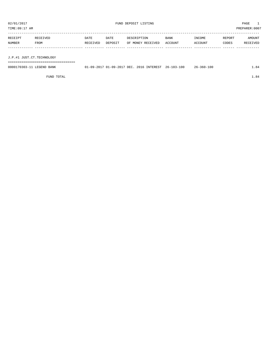| TIME:09:17 AM             |          |          |         |                   |         |         |        | PREPARER:0007 |
|---------------------------|----------|----------|---------|-------------------|---------|---------|--------|---------------|
|                           |          |          |         |                   |         |         |        |               |
| RECEIPT                   | RECEIVED | DATE     | DATE    | DESCRIPTION       | BANK    | INCOME  | REPORT | AMOUNT        |
| NUMBER                    | FROM     | RECEIVED | DEPOSIT | OF MONEY RECEIVED | ACCOUNT | ACCOUNT | CODES  | RECEIVED      |
|                           |          |          |         |                   |         |         |        |               |
|                           |          |          |         |                   |         |         |        |               |
| J.P.#1 JUST.CT.TECHNOLOGY |          |          |         |                   |         |         |        |               |
|                           |          |          |         |                   |         |         |        |               |

| 0000170303-11 LEGEND BANK | 01-09-2017 01-09-2017 DEC. 2016 INTEREST 26-103-100 |  | $26 - 360 - 100$ | L.84 |
|---------------------------|-----------------------------------------------------|--|------------------|------|
|                           |                                                     |  |                  |      |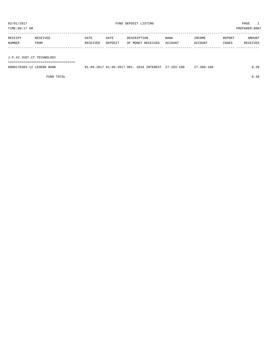TIME:09:17 AM PREPARER:0007

| RECEIPT | RECEIVED | <b>DATE</b> | DATE    | DESCRIPTION       | <b>BANK</b> | INCOME  | REPORT | AMOUNT   |
|---------|----------|-------------|---------|-------------------|-------------|---------|--------|----------|
| NUMBER  | FROM     | RECEIVED    | DEPOSIT | OF MONEY RECEIVED | ACCOUNT     | ACCOUNT | CODES  | RECEIVED |
|         |          |             |         |                   |             |         |        |          |
|         |          |             |         |                   |             |         |        |          |

J.P.#2 JUST.CT.TECHNOLOGY

===================================

| 0000170303-12 LEGEND BANK |  | 01-09-2017 01-09-2017 DEC. 2016 INTEREST 27-103-100 | $27 - 360 - 100$ | 0.39 |
|---------------------------|--|-----------------------------------------------------|------------------|------|
|                           |  |                                                     |                  |      |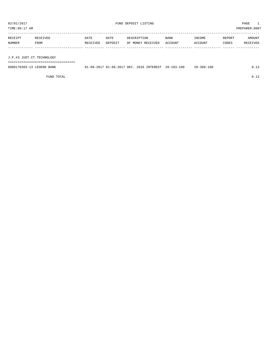TIME:09:17 AM PREPARER:0007 ----------------------------------------------------------------------------------------------------------------------------------- RECEIPT RECEIVED DATE DATE DESCRIPTION BANK INCOME REPORT AMOUNT NUMBER FROM RECEIVED DEPOSIT OF MONEY RECEIVED ACCOUNT ACCOUNT CODES RECEIVED ------------- ------------------------- ---------- ---------- ------------------- -------------- -------------- ------ ------------ J.P.#3 JUST.CT.TECHNOLOGY

===================================

| 0000170303-13 LEGEND BANK |  |  | 01-09-2017 01-09-2017 DEC. 2016 INTEREST 28-103-100 | $28 - 360 - 100$ |  |
|---------------------------|--|--|-----------------------------------------------------|------------------|--|
|                           |  |  |                                                     |                  |  |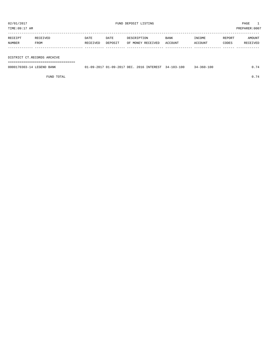TIME:09:17 AM PREPARER:0007

| RECEIPT | RECEIVED | DATE     | DATE    | DESCRIPTION       | <b>BANK</b> | INCOME         | REPORT | AMOUNT   |
|---------|----------|----------|---------|-------------------|-------------|----------------|--------|----------|
| NUMBER  | FROM     | RECEIVED | DEPOSIT | OF MONEY RECEIVED | ACCOUNT     | <b>ACCOUNT</b> | CODES  | RECEIVED |
|         |          |          |         |                   |             |                |        |          |
|         |          |          |         |                   |             |                |        |          |

DISTRICT CT.RECORDS ARCHIVE

===================================

| 0000170303-14 LEGEND BANK | 01-09-2017 01-09-2017 DEC. 2016 INTEREST 34-103-100 |  | $34 - 360 - 100$ |  |
|---------------------------|-----------------------------------------------------|--|------------------|--|
|                           |                                                     |  |                  |  |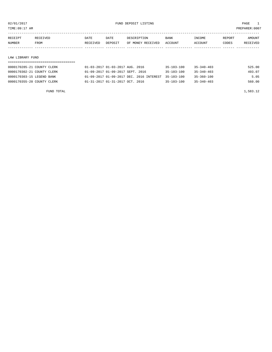TIME:09:17 AM PREPARER:0007

| RECEIPT | RECEIVED | DATE     | DATE    | DESCRIPTION       | <b>BANK</b>    | INCOME | REPORT | AMOUNT          |
|---------|----------|----------|---------|-------------------|----------------|--------|--------|-----------------|
| NUMBER  | FROM     | RECEIVED | DEPOSIT | OF MONEY RECEIVED | <b>ACCOUNT</b> | CCOUNT | CODES  | <b>RECEIVED</b> |
|         |          |          |         |                   |                |        |        |                 |

#### LAW LIBRARY FUND

| 0000170285-21 COUNTY CLERK | 01-03-2017 01-03-2017 AUG. 2016                     | 35-103-100       | $35 - 340 - 403$ | 525.00 |
|----------------------------|-----------------------------------------------------|------------------|------------------|--------|
| 0000170302-21 COUNTY CLERK | 01-09-2017 01-09-2017 SEPT. 2016                    | $35 - 103 - 100$ | $35 - 340 - 403$ | 493.07 |
| 0000170303-15 LEGEND BANK  | 01-09-2017 01-09-2017 DEC. 2016 INTEREST 35-103-100 |                  | $35 - 360 - 100$ | 5.05   |
| 0000170355-20 COUNTY CLERK | 01-31-2017 01-31-2017 OCT. 2016                     | $35 - 103 - 100$ | $35 - 340 - 403$ | 560.00 |

FUND TOTAL  $1,583.12$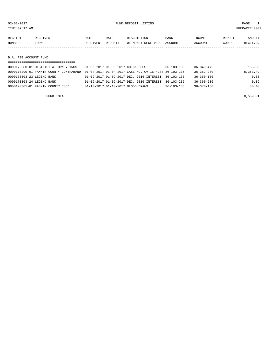02/01/2017 FUND DEPOSIT LISTING PAGE 1

| RECEIPT       | RECEIVED | DATE     | DATE    | DESCRIPTION       | BANK    | INCOME  | REPORT | AMOUNT   |
|---------------|----------|----------|---------|-------------------|---------|---------|--------|----------|
| <b>NUMBER</b> | FROM     | RECEIVED | DEPOSIT | OF MONEY RECEIVED | ACCOUNT | ACCOUNT | CODES  | RECEIVED |
|               |          |          |         |                   |         |         |        |          |
|               |          |          |         |                   |         |         |        |          |

D.A. FEE ACCOUNT FUND

| 0000170280-01 DISTRICT ATTORNEY TRUST  | 01-03-2017 01-03-2017 CHECK FEES                     | $36 - 103 - 136$ | $36 - 340 - 475$ | 155.00   |
|----------------------------------------|------------------------------------------------------|------------------|------------------|----------|
| 0000170290-01 FANNIN COUNTY CONTRABAND | 01-04-2017 01-04-2017 CASE NO. CV-16-4288 36-103-236 |                  | $36 - 352 - 200$ | 8,353.49 |
| 0000170303-23 LEGEND BANK              | 01-09-2017 01-09-2017 DEC, 2016 INTEREST 36-103-136  |                  | $36 - 360 - 100$ | 0.03     |
| 0000170303-24 LEGEND BANK              | 01-09-2017 01-09-2017 DEC. 2016 INTEREST             | $36 - 103 - 236$ | $36 - 360 - 236$ | 0.09     |
| 0000170305-01 FANNIN COUNTY CSCD       | 01-10-2017 01-10-2017 BLOOD DRAWS                    | $36 - 103 - 136$ | $36 - 370 - 130$ | 80.40    |
|                                        |                                                      |                  |                  |          |

FUND TOTAL 8,589.01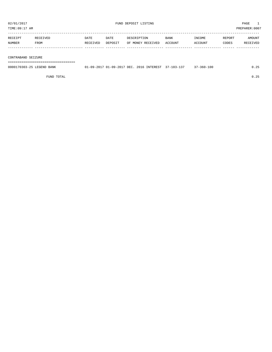| 02/01/2017<br>TIME:09:17 AM |                  |                  |                 | FUND DEPOSIT LISTING             | PAGE<br>PREPARER:0007  |                   |                 |                    |
|-----------------------------|------------------|------------------|-----------------|----------------------------------|------------------------|-------------------|-----------------|--------------------|
| RECEIPT<br>NUMBER           | RECEIVED<br>FROM | DATE<br>RECEIVED | DATE<br>DEPOSIT | DESCRIPTION<br>OF MONEY RECEIVED | <b>BANK</b><br>ACCOUNT | INCOME<br>ACCOUNT | REPORT<br>CODES | AMOUNT<br>RECEIVED |
|                             |                  |                  |                 |                                  |                        |                   |                 |                    |

CONTRABAND SEIZURE

===================================

| 0000170303-25 LEGEND BANK | 01-09-2017 01-09-2017 DEC. 2016 INTEREST 37-103-137 |  | $37 - 360 - 100$ | 0.25 |
|---------------------------|-----------------------------------------------------|--|------------------|------|
|                           |                                                     |  |                  |      |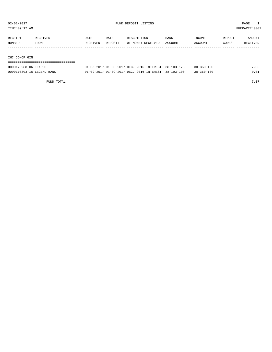TIME:09:17 AM PREPARER:0007

| RECEIPT       | RECEIVED | <b>DATE</b> | DATE    | DESCRIPTION       | <b>BANK</b> | INCOME  | REPORT | AMOUNT   |
|---------------|----------|-------------|---------|-------------------|-------------|---------|--------|----------|
| <b>NUMBER</b> | FROM     | RECEIVED    | DEPOSIT | OF MONEY RECEIVED | ACCOUNT     | ACCOUNT | CODES  | RECEIVED |
|               |          |             |         |                   |             |         |        |          |
|               |          |             |         |                   |             |         |        |          |

IHC CO-OP GIN

| ------------------------------------ |                                                     |  |                  |      |
|--------------------------------------|-----------------------------------------------------|--|------------------|------|
| 0000170288-06 TEXPOOL                | 01-03-2017 01-03-2017 DEC. 2016 INTEREST 38-103-175 |  | $38 - 360 - 100$ | 7.06 |
| 0000170303-16 LEGEND BANK            | 01-09-2017 01-09-2017 DEC. 2016 INTEREST 38-103-100 |  | $38 - 360 - 100$ | 0.01 |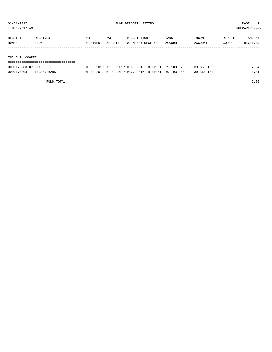TIME:09:17 AM PREPARER:0007

| RECEIPT | RECEIVED | DATE     | DATE    | DESCRIPTION       | BANK    | INCOME  | REPORT | AMOUNT   |
|---------|----------|----------|---------|-------------------|---------|---------|--------|----------|
| NUMBER  | FROM     | RECEIVED | DEPOSIT | OF MONEY RECEIVED | ACCOUNT | ACCOUNT | CODES  | RECEIVED |
|         |          |          |         |                   |         |         |        |          |
|         |          |          |         |                   |         |         |        |          |

IHC B.R. COOPER

| ------------------------------------ |                                                     |  |                  |      |
|--------------------------------------|-----------------------------------------------------|--|------------------|------|
| 0000170288-07 TEXPOOL                | 01-03-2017 01-03-2017 DEC. 2016 INTEREST 39-103-175 |  | $39 - 360 - 100$ | 2.34 |
| 0000170303-17 LEGEND BANK            | 01-09-2017 01-09-2017 DEC. 2016 INTEREST 39-103-100 |  | $39 - 360 - 100$ | 0.41 |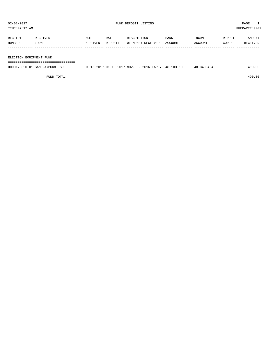TIME:09:17 AM PREPARER:0007

| RECEIPT | RECEIVED | <b>DATE</b> | DATE    | DESCRIPTION       | <b>BANK</b> | INCOME  | REPORT | AMOUNT   |
|---------|----------|-------------|---------|-------------------|-------------|---------|--------|----------|
| NUMBER  | FROM     | RECEIVED    | DEPOSIT | OF MONEY RECEIVED | ACCOUNT     | ACCOUNT | CODES  | RECEIVED |
|         |          |             |         |                   |             |         |        |          |
|         |          |             |         |                   |             |         |        |          |

ELECTION EQUIPMENT FUND

===================================

| 0000170320-01 SAM RAYBURN ISD | 01-13-2017 01-13-2017 NOV. 8, 2016 EARLY 48-103-100 |  | $48 - 340 - 484$ | 490.00 |
|-------------------------------|-----------------------------------------------------|--|------------------|--------|
|                               |                                                     |  |                  |        |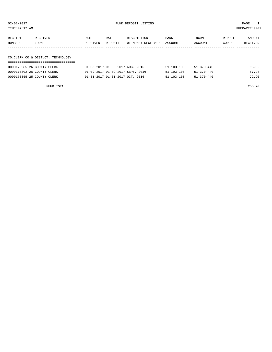| PREPARER: 0007<br>TIME:09:17 AM |                  |                  |                 |                                  |                 |                   |                 |                    |
|---------------------------------|------------------|------------------|-----------------|----------------------------------|-----------------|-------------------|-----------------|--------------------|
| RECEIPT<br>NUMBER               | RECEIVED<br>FROM | DATE<br>RECEIVED | DATE<br>DEPOSIT | DESCRIPTION<br>OF MONEY RECEIVED | BANK<br>ACCOUNT | INCOME<br>ACCOUNT | REPORT<br>CODES | AMOUNT<br>RECEIVED |
|                                 |                  |                  |                 |                                  |                 |                   |                 |                    |

### CO.CLERK CO.& DIST.CT. TECHNOLOGY ===================================

| 0000170285-26 COUNTY CLERK | 01-03-2017 01-03-2017 AUG. 2016                | $51 - 103 - 100$ | 51-370-440 | 95.02 |
|----------------------------|------------------------------------------------|------------------|------------|-------|
| 0000170302-26 COUNTY CLERK | $01 - 09 - 2017$ $01 - 09 - 2017$ SEPT, 2016   | $51 - 103 - 100$ | 51-370-440 | 87.28 |
| 0000170355-25 COUNTY CLERK | $01 - 31 - 2017$ $01 - 31 - 2017$ $0CT$ . 2016 | $51 - 103 - 100$ | 51-370-440 | 72.90 |

FUND TOTAL 255.20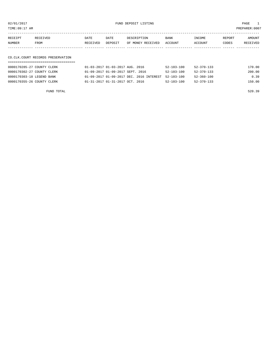02/01/2017 FUND DEPOSIT LISTING PAGE 1

| RECEIPT       | RECEIVED    | DATE     | DATE    | DESCRIPTION       | <b>BANK</b>    | INCOME  | REPORT | AMOUNT          |
|---------------|-------------|----------|---------|-------------------|----------------|---------|--------|-----------------|
| <b>NUMBER</b> | <b>FROM</b> | RECEIVED | DEPOSIT | OF MONEY RECEIVED | <b>ACCOUNT</b> | ACCOUNT | CODES  | <b>RECEIVED</b> |
|               |             |          |         |                   |                |         |        |                 |

## CO.CLK.COURT RECORDS PRESERVATION

| 0000170285-27 COUNTY CLERK | 01-03-2017 01-03-2017 AUG. 2016                     | $52 - 103 - 100$ | 52-370-133       | 170.00 |
|----------------------------|-----------------------------------------------------|------------------|------------------|--------|
| 0000170302-27 COUNTY CLERK | 01-09-2017 01-09-2017 SEPT. 2016                    | $52 - 103 - 100$ | $52 - 370 - 133$ | 200.00 |
| 0000170303-18 LEGEND BANK  | 01-09-2017 01-09-2017 DEC. 2016 INTEREST 52-103-100 |                  | $52 - 360 - 100$ | 0.39   |
| 0000170355-26 COUNTY CLERK | $01 - 31 - 2017$ $01 - 31 - 2017$ $0CT$ . 2016      | $52 - 103 - 100$ | $52 - 370 - 133$ | 150.00 |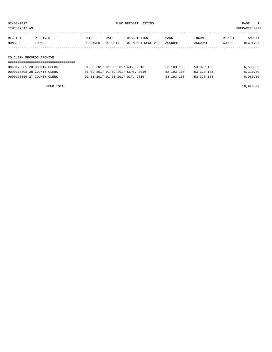TIME:09:17 AM PREPARER:0007

| RECEIPT                  | RECEIVED | DATE     | DATE    | DESCRIPTION       | BANK    | INCOME  | REPORT | AMOUNT   |
|--------------------------|----------|----------|---------|-------------------|---------|---------|--------|----------|
| NUMBER                   | FROM     | RECEIVED | DEPOSIT | OF MONEY RECEIVED | ACCOUNT | ACCOUNT | CODES  | RECEIVED |
|                          |          |          |         |                   |         |         |        |          |
|                          |          |          |         |                   |         |         |        |          |
| CO.CLERK RECORDS ARCHIVE |          |          |         |                   |         |         |        |          |

| ------------------------------------- |
|---------------------------------------|
| ------------------------------------- |

| 0000170285-28 COUNTY CLERK | 01-03-2017 01-03-2017 AUG. 2016                | $53 - 103 - 100$ | 53-370-133       | 6,550.00 |
|----------------------------|------------------------------------------------|------------------|------------------|----------|
| 0000170302-28 COUNTY CLERK | 01-09-2017 01-09-2017 SEPT. 2016               | $53 - 103 - 100$ | $53 - 370 - 133$ | 6,310.00 |
| 0000170355-27 COUNTY CLERK | $01 - 31 - 2017$ $01 - 31 - 2017$ $0CT$ . 2016 | $53 - 103 - 100$ | $53 - 370 - 133$ | 6,060.00 |

FUND TOTAL 18,920.00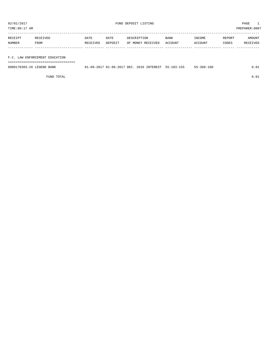TIME:09:17 AM PREPARER:0007

| RECEIPT | RECEIVED | DATE     | DATE    | DESCRIPTION       | <b>BANK</b> | INCOME  | REPORT | AMOUNT   |
|---------|----------|----------|---------|-------------------|-------------|---------|--------|----------|
| NUMBER  | FROM     | RECEIVED | DEPOSIT | OF MONEY RECEIVED | ACCOUNT     | ACCOUNT | CODES  | RECEIVED |
|         |          |          |         |                   |             |         |        |          |
|         |          |          |         |                   |             |         |        |          |

F.C. LAW ENFORCEMENT EDUCATION

===================================

| 0000170303-26<br>LEGEND<br>BANK | -09-2017 | 01-09-2017 DEC. | 2016 INTEREST | 55-103-155 | $-100$<br>- 360 - |  |
|---------------------------------|----------|-----------------|---------------|------------|-------------------|--|
|                                 |          |                 |               |            |                   |  |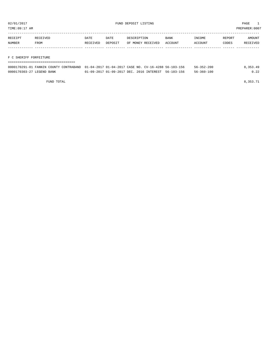TIME:09:17 AM PREPARER:0007

| <b>RECEIPT</b> | RECEIVED | DATE                | DATE    | DESCRIPTION       | <b>BANK</b>    | INCOME        | REPORT | AMOUNT          |
|----------------|----------|---------------------|---------|-------------------|----------------|---------------|--------|-----------------|
| NUMBER         | FROM     | <b>FIVED</b><br>アロー | DEPOSIT | OF MONEY RECEIVED | <b>ACCOUNT</b> | <b>CCOUNT</b> | CODES  | <b>RECEIVED</b> |
|                |          |                     |         |                   |                |               |        |                 |

#### F C SHERIFF FORFEITURE

| -----------------------------------                                                         |                                                     |  |                  |          |
|---------------------------------------------------------------------------------------------|-----------------------------------------------------|--|------------------|----------|
| 0000170291-01 FANNIN COUNTY CONTRABAND 01-04-2017 01-04-2017 CASE NO. CV-16-4288 56-103-156 |                                                     |  | $56 - 352 - 200$ | 8,353.49 |
| 0000170303-27 LEGEND BANK                                                                   | 01-09-2017 01-09-2017 DEC, 2016 INTEREST 56-103-156 |  | 56-360-100       | 0.22     |

FUND TOTAL  $8,353.71$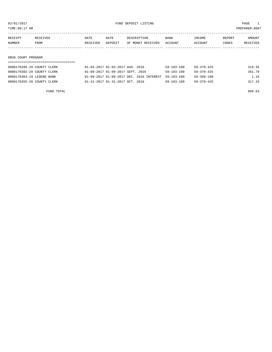TIME:09:17 AM PREPARER:0007

| RECEIPT | RECEIVED    | DATE     | DATE    | DESCRIPTION       | <b>BANK</b> | INCOME  | REPORT | AMOUNT          |
|---------|-------------|----------|---------|-------------------|-------------|---------|--------|-----------------|
| NUMBER  | <b>FROM</b> | RECEIVED | DEPOSIT | OF MONEY RECEIVED | ACCOUNT     | ACCOUNT | CODES  | <b>RECEIVED</b> |
|         |             |          |         |                   |             |         |        |                 |

#### DRUG COURT PROGRAM

| 0000170285-29 COUNTY CLERK | 01-03-2017 01-03-2017 AUG. 2016                | 59-103-100       | 59-370-425       | 319.35 |
|----------------------------|------------------------------------------------|------------------|------------------|--------|
| 0000170302-29 COUNTY CLERK | 01-09-2017 01-09-2017 SEPT. 2016               | $59 - 103 - 100$ | $59 - 370 - 425$ | 361.79 |
| 0000170303-19 LEGEND BANK  | 01-09-2017 01-09-2017 DEC. 2016 INTEREST       | $59 - 103 - 100$ | $59 - 360 - 100$ | 1.16   |
| 0000170355-28 COUNTY CLERK | $01 - 31 - 2017$ $01 - 31 - 2017$ $0CT$ . 2016 | $59 - 103 - 100$ | $59 - 370 - 425$ | 317.33 |

FUND TOTAL 999.63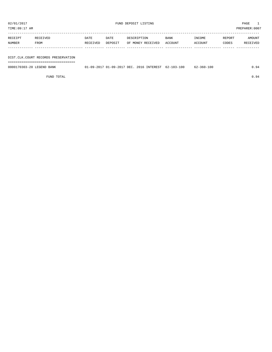| TIME:09:17 AM     |                                     |                  |                 |                                  |                 |                   |                 | PREPARER: 0007     |
|-------------------|-------------------------------------|------------------|-----------------|----------------------------------|-----------------|-------------------|-----------------|--------------------|
| RECEIPT<br>NUMBER | RECEIVED<br>FROM                    | DATE<br>RECEIVED | DATE<br>DEPOSIT | DESCRIPTION<br>OF MONEY RECEIVED | BANK<br>ACCOUNT | INCOME<br>ACCOUNT | REPORT<br>CODES | AMOUNT<br>RECEIVED |
|                   | DIST.CLK.COURT RECORDS PRESERVATION |                  |                 |                                  |                 |                   |                 |                    |

===================================

0000170303-20 LEGEND BANK 01-09-2017 01-09-2017 DEC. 2016 INTEREST 62-103-100 62-360-100 0.94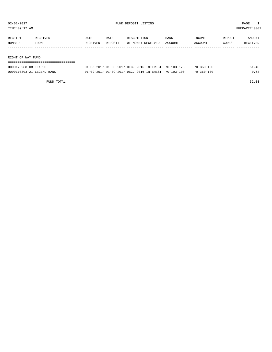| TIME:09:17 AM |                   |          |          |         |                   |             |         | PREPARER:0007 |          |  |
|---------------|-------------------|----------|----------|---------|-------------------|-------------|---------|---------------|----------|--|
|               |                   |          |          |         |                   |             |         |               |          |  |
|               | RECEIPT           | RECEIVED | DATE     | DATE    | DESCRIPTION       | <b>BANK</b> | INCOME  | REPORT        | AMOUNT   |  |
|               | NUMBER            | FROM     | RECEIVED | DEPOSIT | OF MONEY RECEIVED | ACCOUNT     | ACCOUNT | CODES         | RECEIVED |  |
|               |                   |          |          |         |                   |             |         |               |          |  |
|               |                   |          |          |         |                   |             |         |               |          |  |
|               | RIGHT OF WAY FUND |          |          |         |                   |             |         |               |          |  |
|               |                   |          |          |         |                   |             |         |               |          |  |

| 0000170288-08 TEXPOOL     | 01-03-2017 01-03-2017 DEC. 2016 INTEREST 70-103-175 |  | $70 - 360 - 100$ | 51.40 |
|---------------------------|-----------------------------------------------------|--|------------------|-------|
| 0000170303-21 LEGEND BANK | 01-09-2017 01-09-2017 DEC. 2016 INTEREST 70-103-100 |  | $70 - 360 - 100$ | 0.63  |

FUND TOTAL 52.03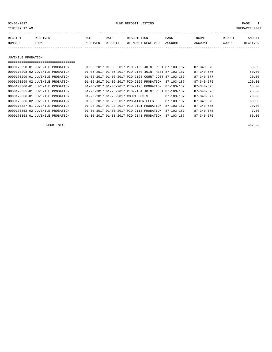02/01/2017 FUND DEPOSIT LISTING PAGE 1

| RECEIPT | <b>RECEIVED</b> | DATE     | DATE    | DESCRIPTION       | <b>BANK</b> | INCOME  | <b>REPORT</b> | AMOUNT          |
|---------|-----------------|----------|---------|-------------------|-------------|---------|---------------|-----------------|
| NUMBER  | FROM            | RECEIVED | DEPOSIT | OF MONEY RECEIVED | ACCOUNT     | ACCOUNT | CODES         | <b>RECEIVED</b> |
|         |                 |          |         |                   |             |         |               |                 |

JUVENILE PROBATION

| 0000170298-01 JUVENILE PROBATION | 01-06-2017 01-06-2017 PID-2169 JOINT REST 87-103-187 | $87 - 340 - 576$                     | 50.00  |
|----------------------------------|------------------------------------------------------|--------------------------------------|--------|
| 0000170298-02 JUVENILE PROBATION | 01-06-2017 01-06-2017 PID-2170 JOINT REST 87-103-187 | 87-340-576                           | 50.00  |
| 0000170299-01 JUVENILE PROBATION | 01-06-2017 01-06-2017 PID-2125 COURT COST 87-103-187 | $87 - 340 - 577$                     | 20.00  |
| 0000170299-02 JUVENILE PROBATION | 01-06-2017 01-06-2017 PID-2125 PROBATION             | $87 - 340 - 575$<br>87-103-187       | 120.00 |
| 0000170300-01 JUVENILE PROBATION | 01-06-2017 01-06-2017 PID-2175 PROBATION             | $87 - 340 - 575$<br>87-103-187       | 15.00  |
| 0000170335-01 JUVENILE PROBATION | 01-23-2017 01-23-2017 PID-2164 JOINT REST 87-103-187 | $87 - 340 - 576$                     | 25.00  |
| 0000170336-01 JUVENILE PROBATION | 01-23-2017 01-23-2017 COURT COSTS                    | 87-103-187<br>$87 - 340 - 577$       | 20.00  |
| 0000170336-02 JUVENILE PROBATION | 01-23-2017 01-23-2017 PROBATION FEES                 | 87-103-187<br>$87 - 340 - 575$       | 60.00  |
| 0000170337-01 JUVENILE PROBATION | 01-23-2017 01-23-2017 PID-2121 PROBATION             | $87 - 103 - 187$<br>$87 - 340 - 575$ | 20.00  |
| 0000170352-02 JUVENILE PROBATION | 01-30-2017 01-30-2017 PID-2118 PROBATION             | $87 - 340 - 575$<br>$87 - 103 - 187$ | 7.00   |
| 0000170353-01 JUVENILE PROBATION | 01-30-2017 01-30-2017 PID-2143 PROBATION             | $87 - 340 - 575$<br>87-103-187       | 80.00  |

FUND TOTAL 467.00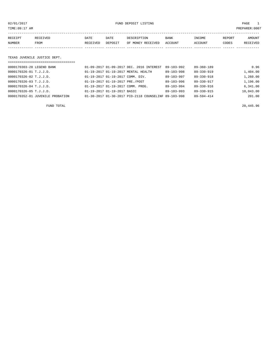02/01/2017 FUND DEPOSIT LISTING PAGE 1

| RECEIPT | RECEIVED | DATE     | DATE    | DESCRIPTION       | <b>BANK</b> | INCOME  | REPORT | AMOUNT          |
|---------|----------|----------|---------|-------------------|-------------|---------|--------|-----------------|
| NUMBER  | FROM     | RECEIVED | DEPOSIT | OF MONEY RECEIVED | ACCOUNT     | ACCOUNT | CODES  | <b>RECEIVED</b> |
|         |          |          |         |                   |             |         |        |                 |

#### TEXAS JUVENILE JUSTICE DEPT.

| ===================================== |                                                      |                  |                  |           |
|---------------------------------------|------------------------------------------------------|------------------|------------------|-----------|
| 0000170303-28 LEGEND BANK             | 01-09-2017 01-09-2017 DEC. 2016 INTEREST             | $89 - 103 - 992$ | $89 - 360 - 189$ | 0.96      |
| 0000170326-01 T.J.J.D.                | 01-19-2017 01-19-2017 MENTAL HEALTH                  | $89 - 103 - 998$ | $89 - 330 - 919$ | 1,404.00  |
| 0000170326-02 T.J.J.D.                | 01-19-2017 01-19-2017 COMM. DIV.                     | $89 - 103 - 997$ | $89 - 330 - 918$ | 1,260.00  |
| 0000170326-03 T.J.J.D.                | 01-19-2017 01-19-2017 PRE./POST                      | 89-103-996       | 89-330-917       | 1,196.00  |
| 0000170326-04 T.J.J.D.                | 01-19-2017 01-19-2017 COMM. PROG.                    | 89-103-994       | 89-330-916       | 6,341.00  |
| 0000170326-05 T.J.J.D.                | 01-19-2017 01-19-2017 BASIC                          | $89 - 103 - 993$ | 89-330-915       | 10,043.00 |
| 0000170352-01 JUVENILE PROBATION      | 01-30-2017 01-30-2017 PID-2118 COUNSELINF 89-103-998 |                  | $89 - 594 - 414$ | 201.00    |
|                                       |                                                      |                  |                  |           |

FUND TOTAL 20,445.96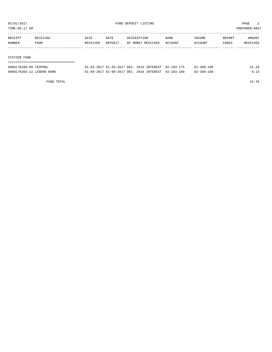TIME:09:17 AM PREPARER:0007

| RECEIPT | RECEIVED | DATE     | DATE    | DESCRIPTION       | <b>BANK</b> | INCOME  | REPORT | AMOUNT   |
|---------|----------|----------|---------|-------------------|-------------|---------|--------|----------|
| NUMBER  | FROM     | RECEIVED | DEPOSIT | OF MONEY RECEIVED | ACCOUNT     | ACCOUNT | CODES  | RECEIVED |
|         |          |          |         |                   |             |         |        |          |
|         |          |          |         |                   |             |         |        |          |

#### STATZER FUND

| 0000170288-09 TEXPOOL     | 01-03-2017 01-03-2017 DEC. 2016 INTEREST 92-103-175 |  | 92-360-100 | 15.20       |
|---------------------------|-----------------------------------------------------|--|------------|-------------|
| 0000170303-22 LEGEND BANK | 01-09-2017 01-09-2017 DEC. 2016 INTEREST 92-103-100 |  | 92-360-100 | <u>በ 13</u> |

FUND TOTAL 15.33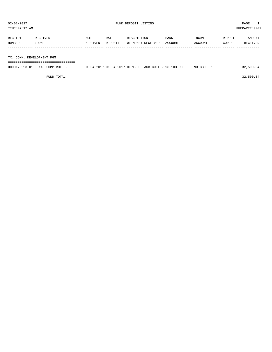PREPARER:0007

| TIME OS TI HM |  |  |
|---------------|--|--|
|               |  |  |

| RECEIPT | <b>RECEIVED</b> | DATE     | DATE    | DESCRIPTION       | <b>BANK</b> | INCOME  | REPORT | AMOUNT          |
|---------|-----------------|----------|---------|-------------------|-------------|---------|--------|-----------------|
| NUMBER  | FROM            | RECEIVED | DEPOSIT | OF MONEY RECEIVED | ACCOUNT     | ACCOUNT | CODES  | <b>RECEIVED</b> |
|         |                 |          |         |                   |             |         |        |                 |

#### TX. COMM. DEVELOPMENT PGM

===================================

| 0000170293-01 TEXAS COMPTROLLER | 01-04-2017 01-04-2017 DEPT. OF AGRICULTUR 93-103-909 | $93 - 330 - 909$ | 32,500.04 |
|---------------------------------|------------------------------------------------------|------------------|-----------|
|                                 |                                                      |                  |           |

 $FUND$  TOTAL 32,500.04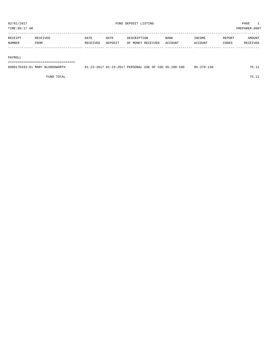TIME:09:17 AM PREPARER:0007

| RECEIPT       | RECEIVED | DATE     | DATE    | DESCRIPTION       | <b>BANK</b> | <b>INCOME</b> | <b>REPORT</b> | AMOUNT          |
|---------------|----------|----------|---------|-------------------|-------------|---------------|---------------|-----------------|
| <b>NUMBER</b> | FROM     | RECEIVED | DEPOSIT | OF MONEY RECEIVED | ACCOUNT     | ACCOUNT       | CODES         | <b>RECEIVED</b> |
|               |          |          |         |                   |             |               |               |                 |

#### PAYROLL

===================================

| 0000170333-01 MARY BLOODSWORTH | 01-23-2017 01-23-2017 PERSONAL USE OF COU 95-100-100 |  | $95 - 370 - 130$ | 75.11 |
|--------------------------------|------------------------------------------------------|--|------------------|-------|
|                                |                                                      |  |                  |       |

FUND TOTAL 75.11